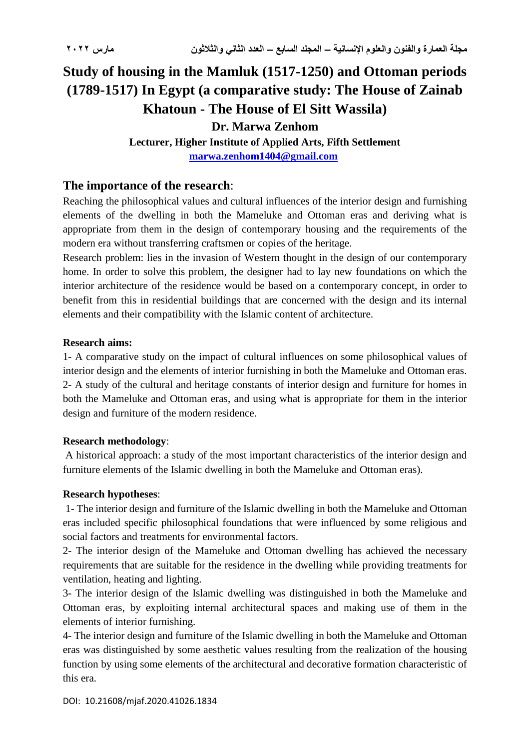# **Study of housing in the Mamluk (1517-1250) and Ottoman periods (1789-1517) In Egypt (a comparative study: The House of Zainab Khatoun - The House of El Sitt Wassila)**

#### **Dr. Marwa Zenhom**

**Lecturer, Higher Institute of Applied Arts, Fifth Settlement [marwa.zenhom1404@gmail.com](mailto:marwa.zenhom1404@gmail.com)**

#### **The importance of the research**:

Reaching the philosophical values and cultural influences of the interior design and furnishing elements of the dwelling in both the Mameluke and Ottoman eras and deriving what is appropriate from them in the design of contemporary housing and the requirements of the modern era without transferring craftsmen or copies of the heritage.

Research problem: lies in the invasion of Western thought in the design of our contemporary home. In order to solve this problem, the designer had to lay new foundations on which the interior architecture of the residence would be based on a contemporary concept, in order to benefit from this in residential buildings that are concerned with the design and its internal elements and their compatibility with the Islamic content of architecture.

#### **Research aims:**

1- A comparative study on the impact of cultural influences on some philosophical values of interior design and the elements of interior furnishing in both the Mameluke and Ottoman eras. 2- A study of the cultural and heritage constants of interior design and furniture for homes in both the Mameluke and Ottoman eras, and using what is appropriate for them in the interior design and furniture of the modern residence.

#### **Research methodology**:

A historical approach: a study of the most important characteristics of the interior design and furniture elements of the Islamic dwelling in both the Mameluke and Ottoman eras).

#### **Research hypotheses**:

1- The interior design and furniture of the Islamic dwelling in both the Mameluke and Ottoman eras included specific philosophical foundations that were influenced by some religious and social factors and treatments for environmental factors.

2- The interior design of the Mameluke and Ottoman dwelling has achieved the necessary requirements that are suitable for the residence in the dwelling while providing treatments for ventilation, heating and lighting.

3- The interior design of the Islamic dwelling was distinguished in both the Mameluke and Ottoman eras, by exploiting internal architectural spaces and making use of them in the elements of interior furnishing.

4- The interior design and furniture of the Islamic dwelling in both the Mameluke and Ottoman eras was distinguished by some aesthetic values resulting from the realization of the housing function by using some elements of the architectural and decorative formation characteristic of this era.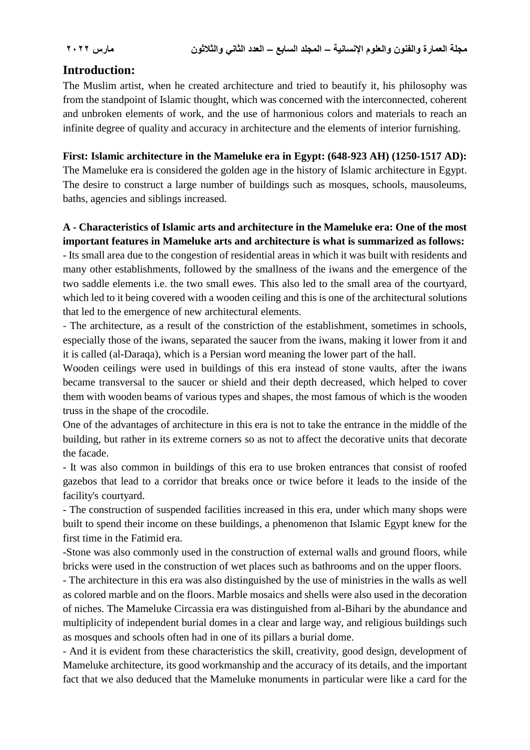# **Introduction:**

The Muslim artist, when he created architecture and tried to beautify it, his philosophy was from the standpoint of Islamic thought, which was concerned with the interconnected, coherent and unbroken elements of work, and the use of harmonious colors and materials to reach an infinite degree of quality and accuracy in architecture and the elements of interior furnishing.

**First: Islamic architecture in the Mameluke era in Egypt: (648-923 AH) (1250-1517 AD):**

The Mameluke era is considered the golden age in the history of Islamic architecture in Egypt. The desire to construct a large number of buildings such as mosques, schools, mausoleums, baths, agencies and siblings increased.

# **A - Characteristics of Islamic arts and architecture in the Mameluke era: One of the most important features in Mameluke arts and architecture is what is summarized as follows:**

- Its small area due to the congestion of residential areas in which it was built with residents and many other establishments, followed by the smallness of the iwans and the emergence of the two saddle elements i.e. the two small ewes. This also led to the small area of the courtyard, which led to it being covered with a wooden ceiling and this is one of the architectural solutions that led to the emergence of new architectural elements.

- The architecture, as a result of the constriction of the establishment, sometimes in schools, especially those of the iwans, separated the saucer from the iwans, making it lower from it and it is called (al-Daraqa), which is a Persian word meaning the lower part of the hall.

Wooden ceilings were used in buildings of this era instead of stone vaults, after the iwans became transversal to the saucer or shield and their depth decreased, which helped to cover them with wooden beams of various types and shapes, the most famous of which is the wooden truss in the shape of the crocodile.

One of the advantages of architecture in this era is not to take the entrance in the middle of the building, but rather in its extreme corners so as not to affect the decorative units that decorate the facade.

- It was also common in buildings of this era to use broken entrances that consist of roofed gazebos that lead to a corridor that breaks once or twice before it leads to the inside of the facility's courtyard.

- The construction of suspended facilities increased in this era, under which many shops were built to spend their income on these buildings, a phenomenon that Islamic Egypt knew for the first time in the Fatimid era.

-Stone was also commonly used in the construction of external walls and ground floors, while bricks were used in the construction of wet places such as bathrooms and on the upper floors.

- The architecture in this era was also distinguished by the use of ministries in the walls as well as colored marble and on the floors. Marble mosaics and shells were also used in the decoration of niches. The Mameluke Circassia era was distinguished from al-Bihari by the abundance and multiplicity of independent burial domes in a clear and large way, and religious buildings such as mosques and schools often had in one of its pillars a burial dome.

- And it is evident from these characteristics the skill, creativity, good design, development of Mameluke architecture, its good workmanship and the accuracy of its details, and the important fact that we also deduced that the Mameluke monuments in particular were like a card for the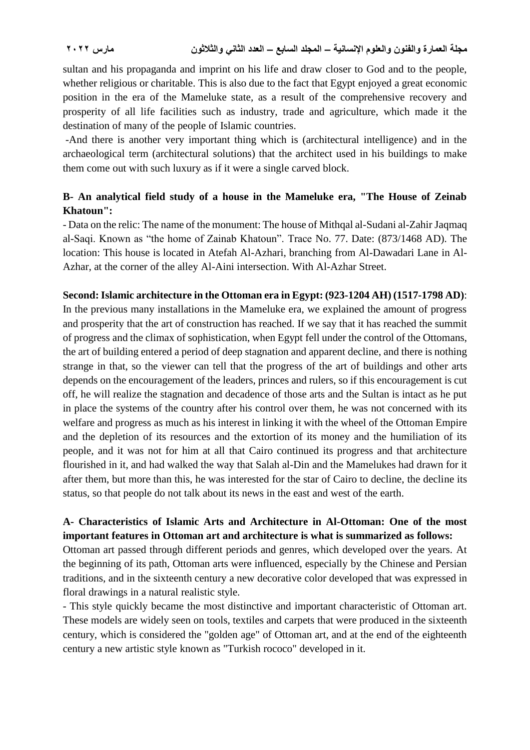sultan and his propaganda and imprint on his life and draw closer to God and to the people, whether religious or charitable. This is also due to the fact that Egypt enjoyed a great economic position in the era of the Mameluke state, as a result of the comprehensive recovery and prosperity of all life facilities such as industry, trade and agriculture, which made it the destination of many of the people of Islamic countries.

-And there is another very important thing which is (architectural intelligence) and in the archaeological term (architectural solutions) that the architect used in his buildings to make them come out with such luxury as if it were a single carved block.

### **B- An analytical field study of a house in the Mameluke era, "The House of Zeinab Khatoun":**

- Data on the relic: The name of the monument: The house of Mithqal al-Sudani al-Zahir Jaqmaq al-Saqi. Known as "the home of Zainab Khatoun". Trace No. 77. Date: (873/1468 AD). The location: This house is located in Atefah Al-Azhari, branching from Al-Dawadari Lane in Al-Azhar, at the corner of the alley Al-Aini intersection. With Al-Azhar Street.

#### **Second: Islamic architecture in the Ottoman era in Egypt: (923-1204 AH) (1517-1798 AD)**:

In the previous many installations in the Mameluke era, we explained the amount of progress and prosperity that the art of construction has reached. If we say that it has reached the summit of progress and the climax of sophistication, when Egypt fell under the control of the Ottomans, the art of building entered a period of deep stagnation and apparent decline, and there is nothing strange in that, so the viewer can tell that the progress of the art of buildings and other arts depends on the encouragement of the leaders, princes and rulers, so if this encouragement is cut off, he will realize the stagnation and decadence of those arts and the Sultan is intact as he put in place the systems of the country after his control over them, he was not concerned with its welfare and progress as much as his interest in linking it with the wheel of the Ottoman Empire and the depletion of its resources and the extortion of its money and the humiliation of its people, and it was not for him at all that Cairo continued its progress and that architecture flourished in it, and had walked the way that Salah al-Din and the Mamelukes had drawn for it after them, but more than this, he was interested for the star of Cairo to decline, the decline its status, so that people do not talk about its news in the east and west of the earth.

### **A- Characteristics of Islamic Arts and Architecture in Al-Ottoman: One of the most important features in Ottoman art and architecture is what is summarized as follows:**

Ottoman art passed through different periods and genres, which developed over the years. At the beginning of its path, Ottoman arts were influenced, especially by the Chinese and Persian traditions, and in the sixteenth century a new decorative color developed that was expressed in floral drawings in a natural realistic style.

- This style quickly became the most distinctive and important characteristic of Ottoman art. These models are widely seen on tools, textiles and carpets that were produced in the sixteenth century, which is considered the "golden age" of Ottoman art, and at the end of the eighteenth century a new artistic style known as "Turkish rococo" developed in it.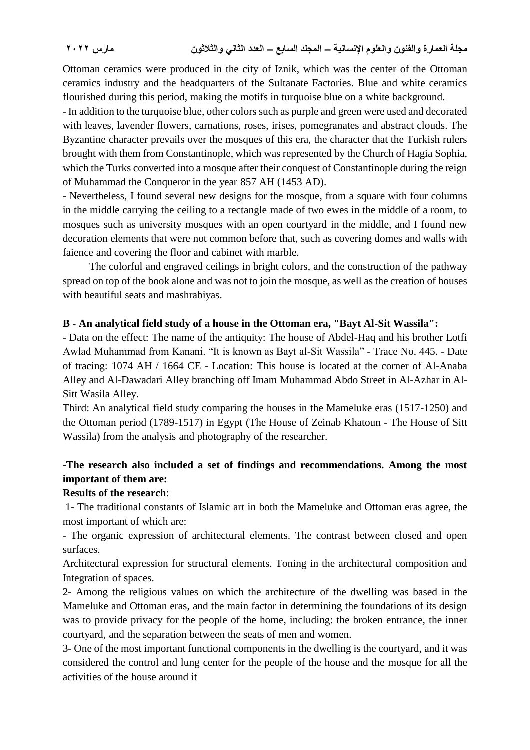Ottoman ceramics were produced in the city of Iznik, which was the center of the Ottoman ceramics industry and the headquarters of the Sultanate Factories. Blue and white ceramics flourished during this period, making the motifs in turquoise blue on a white background.

- In addition to the turquoise blue, other colors such as purple and green were used and decorated with leaves, lavender flowers, carnations, roses, irises, pomegranates and abstract clouds. The Byzantine character prevails over the mosques of this era, the character that the Turkish rulers brought with them from Constantinople, which was represented by the Church of Hagia Sophia, which the Turks converted into a mosque after their conquest of Constantinople during the reign of Muhammad the Conqueror in the year 857 AH (1453 AD).

- Nevertheless, I found several new designs for the mosque, from a square with four columns in the middle carrying the ceiling to a rectangle made of two ewes in the middle of a room, to mosques such as university mosques with an open courtyard in the middle, and I found new decoration elements that were not common before that, such as covering domes and walls with faience and covering the floor and cabinet with marble.

 The colorful and engraved ceilings in bright colors, and the construction of the pathway spread on top of the book alone and was not to join the mosque, as well as the creation of houses with beautiful seats and mashrabiyas.

#### **B - An analytical field study of a house in the Ottoman era, "Bayt Al-Sit Wassila":**

- Data on the effect: The name of the antiquity: The house of Abdel-Haq and his brother Lotfi Awlad Muhammad from Kanani. "It is known as Bayt al-Sit Wassila" - Trace No. 445. - Date of tracing: 1074 AH / 1664 CE - Location: This house is located at the corner of Al-Anaba Alley and Al-Dawadari Alley branching off Imam Muhammad Abdo Street in Al-Azhar in Al-Sitt Wasila Alley.

Third: An analytical field study comparing the houses in the Mameluke eras (1517-1250) and the Ottoman period (1789-1517) in Egypt (The House of Zeinab Khatoun - The House of Sitt Wassila) from the analysis and photography of the researcher.

# **-The research also included a set of findings and recommendations. Among the most important of them are:**

#### **Results of the research**:

1- The traditional constants of Islamic art in both the Mameluke and Ottoman eras agree, the most important of which are:

- The organic expression of architectural elements. The contrast between closed and open surfaces.

Architectural expression for structural elements. Toning in the architectural composition and Integration of spaces.

2- Among the religious values on which the architecture of the dwelling was based in the Mameluke and Ottoman eras, and the main factor in determining the foundations of its design was to provide privacy for the people of the home, including: the broken entrance, the inner courtyard, and the separation between the seats of men and women.

3- One of the most important functional components in the dwelling is the courtyard, and it was considered the control and lung center for the people of the house and the mosque for all the activities of the house around it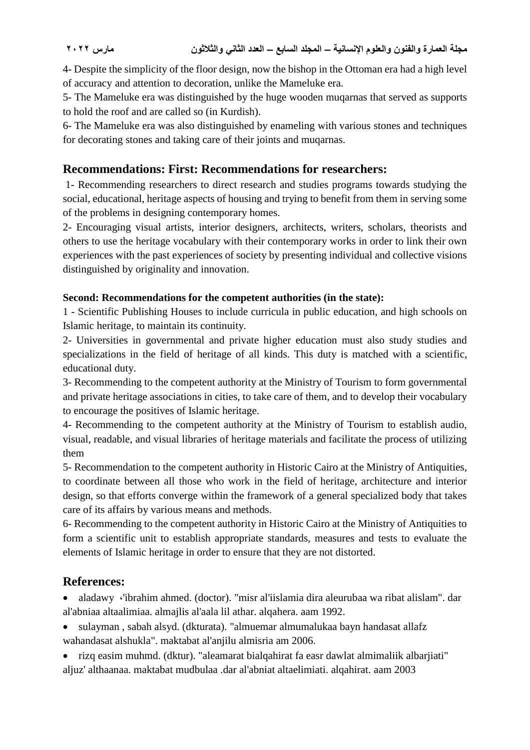4- Despite the simplicity of the floor design, now the bishop in the Ottoman era had a high level of accuracy and attention to decoration, unlike the Mameluke era.

5- The Mameluke era was distinguished by the huge wooden muqarnas that served as supports to hold the roof and are called so (in Kurdish).

6- The Mameluke era was also distinguished by enameling with various stones and techniques for decorating stones and taking care of their joints and muqarnas.

# **Recommendations: First: Recommendations for researchers:**

1- Recommending researchers to direct research and studies programs towards studying the social, educational, heritage aspects of housing and trying to benefit from them in serving some of the problems in designing contemporary homes.

2- Encouraging visual artists, interior designers, architects, writers, scholars, theorists and others to use the heritage vocabulary with their contemporary works in order to link their own experiences with the past experiences of society by presenting individual and collective visions distinguished by originality and innovation.

# **Second: Recommendations for the competent authorities (in the state):**

1 - Scientific Publishing Houses to include curricula in public education, and high schools on Islamic heritage, to maintain its continuity.

2- Universities in governmental and private higher education must also study studies and specializations in the field of heritage of all kinds. This duty is matched with a scientific, educational duty.

3- Recommending to the competent authority at the Ministry of Tourism to form governmental and private heritage associations in cities, to take care of them, and to develop their vocabulary to encourage the positives of Islamic heritage.

4- Recommending to the competent authority at the Ministry of Tourism to establish audio, visual, readable, and visual libraries of heritage materials and facilitate the process of utilizing them

5- Recommendation to the competent authority in Historic Cairo at the Ministry of Antiquities, to coordinate between all those who work in the field of heritage, architecture and interior design, so that efforts converge within the framework of a general specialized body that takes care of its affairs by various means and methods.

6- Recommending to the competent authority in Historic Cairo at the Ministry of Antiquities to form a scientific unit to establish appropriate standards, measures and tests to evaluate the elements of Islamic heritage in order to ensure that they are not distorted.

# **References:**

 aladawy ،'ibrahim ahmed. (doctor). "misr al'iislamia dira aleurubaa wa ribat alislam". dar al'abniaa altaalimiaa. almajlis al'aala lil athar. alqahera. aam 1992.

- sulayman , sabah alsyd. (dkturata). "almuemar almumalukaa bayn handasat allafz wahandasat alshukla". maktabat al'anjilu almisria am 2006.
- rizq easim muhmd. (dktur). "aleamarat bialqahirat fa easr dawlat almimaliik albarjiati" aljuz' althaanaa. maktabat mudbulaa .dar al'abniat altaelimiati. alqahirat. aam 2003